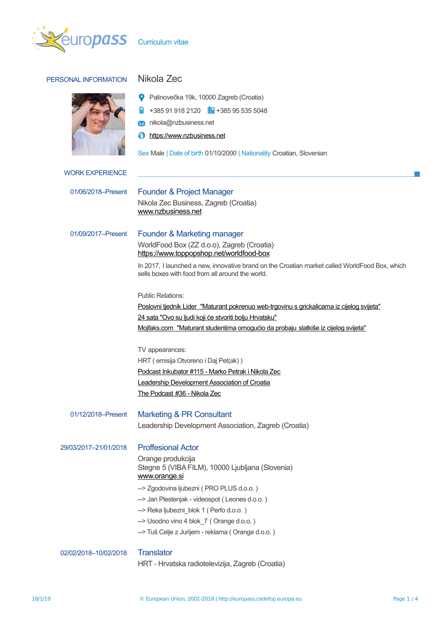

## PERSONAL INFORMATION Nikola Zec



- $\frac{1}{2}$  +385 91 918 2120  $\frac{1}{2}$  +385 95 535 5048
- **X** nikola@nzbusiness.net
- **f** [https://www.nzbusiness.net](https://www.nzbusiness.net/)

Sex Male | Date of birth 01/10/2000 | Nationality Croatian, Slovenian

| <b>WORK EXPERIENCE</b> |                                                                                                                                                    |
|------------------------|----------------------------------------------------------------------------------------------------------------------------------------------------|
|                        |                                                                                                                                                    |
| 01/06/2018–Present     | <b>Founder &amp; Project Manager</b>                                                                                                               |
|                        | Nikola Zec Business, Zagreb (Croatia)                                                                                                              |
|                        | www.nzbusiness.net                                                                                                                                 |
| 01/09/2017-Present     | Founder & Marketing manager                                                                                                                        |
|                        | WorldFood Box (ZZ d.o.o), Zagreb (Croatia)                                                                                                         |
|                        | https://www.toppopshop.net/worldfood-box                                                                                                           |
|                        | In 2017, I launched a new, innovative brand on the Croatian market called WorldFood Box, which<br>sells boxes with food from all around the world. |
|                        | <b>Public Relations:</b>                                                                                                                           |
|                        | Poslovni tjednik Lider "Maturant pokrenuo web-trgovinu s grickalicama iz cijelog svijeta"                                                          |
|                        | 24 sata "Ovo su ljudi koji će stvoriti bolju Hrvatsku"                                                                                             |
|                        | Mojfaks.com "Maturant studentima omogućio da probaju slatkiše iz cijelog svijeta"                                                                  |
|                        |                                                                                                                                                    |
|                        | TV appearances:                                                                                                                                    |
|                        | HRT (emisija Otvoreno i Daj Pet(ak))                                                                                                               |
|                        | Podcast Inkubator #115 - Marko Petrak i Nikola Zec                                                                                                 |
|                        | Leadership Development Association of Croatia                                                                                                      |
|                        | The Podcast #36 - Nikola Zec                                                                                                                       |
| 01/12/2018-Present     | Marketing & PR Consultant                                                                                                                          |
|                        | Leadership Development Association, Zagreb (Croatia)                                                                                               |
| 29/03/2017-21/01/2018  | <b>Proffesional Actor</b>                                                                                                                          |
|                        | Orange produkcija                                                                                                                                  |
|                        | Stegne 5 (VIBA FILM), 10000 Ljubljana (Slovenia)                                                                                                   |
|                        | www.orange.si                                                                                                                                      |
|                        | --> Zgodovina ljubezni (PRO PLUS d.o.o.)                                                                                                           |
|                        | --> Jan Plestenjak - videospot (Leones d.o.o.)                                                                                                     |
|                        | --> Reka ljubezni_blok 1 (Perfo d.o.o.)                                                                                                            |
|                        | --> Usodno vino 4 blok 7 (Orange d.o.o.)                                                                                                           |
|                        | --> Tuš Celje z Jurijem - reklama (Orange d.o.o.)                                                                                                  |
| 02/02/2018-10/02/2018  | <b>Translator</b>                                                                                                                                  |
|                        | HRT - Hrvatska radiotelevizija, Zagreb (Croatia)                                                                                                   |
|                        |                                                                                                                                                    |

 $\mathcal{L}_{\mathcal{A}}$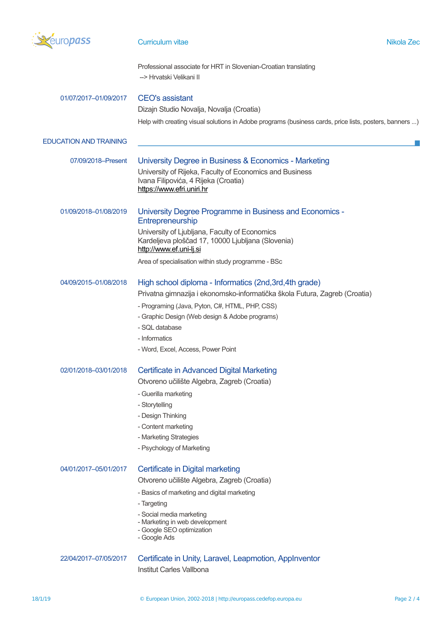

## Curriculum vitae Nikola Zec

Professional associate for HRT in Slovenian-Croatian translating --> Hrvatski Velikani II

| 01/07/2017-01/09/2017         | <b>CEO's assistant</b>                                                                                 |
|-------------------------------|--------------------------------------------------------------------------------------------------------|
|                               | Dizajn Studio Novalja, Novalja (Croatia)                                                               |
|                               | Help with creating visual solutions in Adobe programs (business cards, price lists, posters, banners ) |
| <b>EDUCATION AND TRAINING</b> |                                                                                                        |
| 07/09/2018-Present            | University Degree in Business & Economics - Marketing                                                  |
|                               | University of Rijeka, Faculty of Economics and Business                                                |
|                               | Ivana Filipovića, 4 Rijeka (Croatia)                                                                   |
|                               | https://www.efri.uniri.hr                                                                              |
| 01/09/2018-01/08/2019         | University Degree Programme in Business and Economics -                                                |
|                               | Entrepreneurship                                                                                       |
|                               | University of Ljubljana, Faculty of Economics<br>Kardeljeva ploščad 17, 10000 Ljubljana (Slovenia)     |
|                               | http://www.ef.uni-lj.si                                                                                |
|                               | Area of specialisation within study programme - BSc                                                    |
| 04/09/2015-01/08/2018         | High school diploma - Informatics (2nd, 3rd, 4th grade)                                                |
|                               | Privatna gimnazija i ekonomsko-informatička škola Futura, Zagreb (Croatia)                             |
|                               | - Programing (Java, Pyton, C#, HTML, PHP, CSS)                                                         |
|                               | - Graphic Design (Web design & Adobe programs)                                                         |
|                               | - SQL database                                                                                         |
|                               | - Informatics                                                                                          |
|                               | - Word, Excel, Access, Power Point                                                                     |
| 02/01/2018-03/01/2018         | Certificate in Advanced Digital Marketing                                                              |
|                               | Otvoreno učilište Algebra, Zagreb (Croatia)                                                            |
|                               |                                                                                                        |
|                               | - Guerilla marketing<br>- Storytelling                                                                 |
|                               | - Design Thinking                                                                                      |
|                               | - Content marketing                                                                                    |
|                               | - Marketing Strategies                                                                                 |
|                               | - Psychology of Marketing                                                                              |
| 04/01/2017-05/01/2017         | Certificate in Digital marketing                                                                       |
|                               | Otvoreno učilište Algebra, Zagreb (Croatia)                                                            |
|                               | - Basics of marketing and digital marketing                                                            |
|                               | - Targeting                                                                                            |
|                               | - Social media marketing                                                                               |
|                               | - Marketing in web development                                                                         |
|                               | - Google SEO optimization<br>- Google Ads                                                              |
|                               |                                                                                                        |
| 22/04/2017-07/05/2017         | Certificate in Unity, Laravel, Leapmotion, AppInventor                                                 |
|                               | Institut Carles Vallbona                                                                               |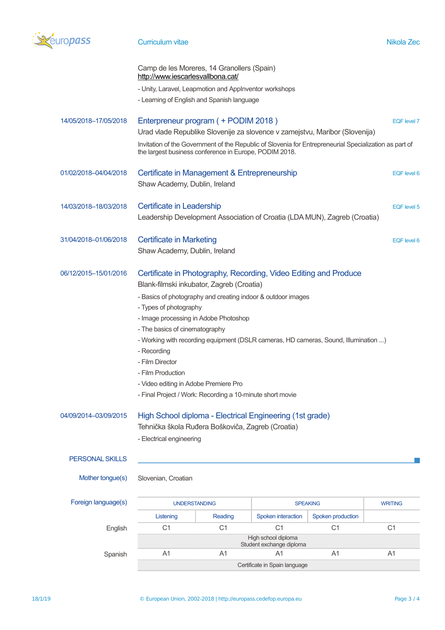

# **Curriculum vitae Nikola Zec**

|                                           | Camp de les Moreres, 14 Granollers (Spain)<br>http://www.iescarlesvallbona.cat/                                                                                  |                |                               |                   |                |  |
|-------------------------------------------|------------------------------------------------------------------------------------------------------------------------------------------------------------------|----------------|-------------------------------|-------------------|----------------|--|
|                                           | - Unity, Laravel, Leapmotion and AppInventor workshops                                                                                                           |                |                               |                   |                |  |
|                                           | - Learning of English and Spanish language                                                                                                                       |                |                               |                   |                |  |
| 14/05/2018-17/05/2018                     | Enterpreneur program ( + PODIM 2018)<br>EQF level 7                                                                                                              |                |                               |                   |                |  |
|                                           | Urad vlade Republike Slovenije za slovence v zamejstvu, Maribor (Slovenija)                                                                                      |                |                               |                   |                |  |
|                                           | Invitation of the Government of the Republic of Slovenia for Entrepreneurial Specialization as part of<br>the largest business conference in Europe, PODIM 2018. |                |                               |                   |                |  |
| 01/02/2018-04/04/2018                     | Certificate in Management & Entrepreneurship                                                                                                                     |                |                               |                   | EQF level 6    |  |
|                                           | Shaw Academy, Dublin, Ireland                                                                                                                                    |                |                               |                   |                |  |
|                                           |                                                                                                                                                                  |                |                               |                   |                |  |
| 14/03/2018-18/03/2018                     | Certificate in Leadership<br>EQF level 5                                                                                                                         |                |                               |                   |                |  |
|                                           | Leadership Development Association of Croatia (LDA MUN), Zagreb (Croatia)                                                                                        |                |                               |                   |                |  |
|                                           |                                                                                                                                                                  |                |                               |                   |                |  |
| 31/04/2018-01/06/2018                     | <b>Certificate in Marketing</b>                                                                                                                                  |                |                               |                   | EQF level 6    |  |
|                                           | Shaw Academy, Dublin, Ireland                                                                                                                                    |                |                               |                   |                |  |
|                                           |                                                                                                                                                                  |                |                               |                   |                |  |
| 06/12/2015-15/01/2016                     | Certificate in Photography, Recording, Video Editing and Produce                                                                                                 |                |                               |                   |                |  |
| Blank-filmski inkubator, Zagreb (Croatia) |                                                                                                                                                                  |                |                               |                   |                |  |
|                                           | - Basics of photography and creating indoor & outdoor images                                                                                                     |                |                               |                   |                |  |
|                                           | - Types of photography                                                                                                                                           |                |                               |                   |                |  |
|                                           | - Image processing in Adobe Photoshop                                                                                                                            |                |                               |                   |                |  |
|                                           | - The basics of cinematography                                                                                                                                   |                |                               |                   |                |  |
|                                           | - Working with recording equipment (DSLR cameras, HD cameras, Sound, Illumination )                                                                              |                |                               |                   |                |  |
|                                           | - Recording                                                                                                                                                      |                |                               |                   |                |  |
|                                           | - Film Director                                                                                                                                                  |                |                               |                   |                |  |
|                                           | - Film Production                                                                                                                                                |                |                               |                   |                |  |
|                                           | - Video editing in Adobe Premiere Pro<br>Final Project / Work: Recording a 10-minute short movie                                                                 |                |                               |                   |                |  |
|                                           |                                                                                                                                                                  |                |                               |                   |                |  |
| 04/09/2014-03/09/2015                     | High School diploma - Electrical Engineering (1st grade)                                                                                                         |                |                               |                   |                |  |
|                                           | Tehnička škola Ruđera Boškoviča, Zagreb (Croatia)                                                                                                                |                |                               |                   |                |  |
|                                           | - Electrical engineering                                                                                                                                         |                |                               |                   |                |  |
|                                           |                                                                                                                                                                  |                |                               |                   |                |  |
| <b>PERSONAL SKILLS</b>                    |                                                                                                                                                                  |                |                               |                   |                |  |
|                                           |                                                                                                                                                                  |                |                               |                   |                |  |
| Mother tongue(s)                          | Slovenian, Croatian                                                                                                                                              |                |                               |                   |                |  |
|                                           |                                                                                                                                                                  |                |                               |                   |                |  |
| Foreign language(s)                       | <b>UNDERSTANDING</b>                                                                                                                                             |                | <b>SPEAKING</b>               |                   | <b>WRITING</b> |  |
|                                           | Listening                                                                                                                                                        | Reading        | Spoken interaction            | Spoken production |                |  |
| English                                   | C <sub>1</sub>                                                                                                                                                   | C <sub>1</sub> | C <sub>1</sub>                | C <sub>1</sub>    | C <sub>1</sub> |  |
|                                           | High school diploma<br>Student exchange diploma                                                                                                                  |                |                               |                   |                |  |
| Spanish                                   | A1                                                                                                                                                               | A <sub>1</sub> | A <sub>1</sub>                | A1                | A1             |  |
|                                           |                                                                                                                                                                  |                | Certificate in Spain language |                   |                |  |